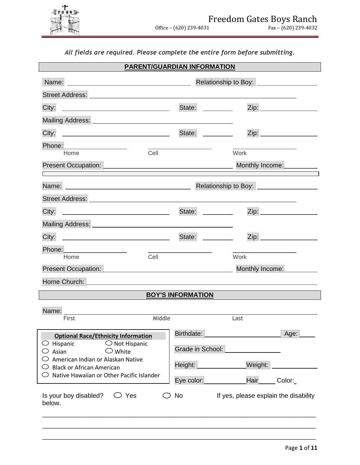

*All fields are required. Please complete the entire form before submitting.*

| <b>PARENT/GUARDIAN INFORMATION</b>                                                                                                                                                                                                                                                         |                                                                 |                                                              |                                     |
|--------------------------------------------------------------------------------------------------------------------------------------------------------------------------------------------------------------------------------------------------------------------------------------------|-----------------------------------------------------------------|--------------------------------------------------------------|-------------------------------------|
|                                                                                                                                                                                                                                                                                            |                                                                 | Relationship to Boy: <b>contain the Relationship to Boy:</b> |                                     |
|                                                                                                                                                                                                                                                                                            |                                                                 |                                                              |                                     |
|                                                                                                                                                                                                                                                                                            | State:                                                          |                                                              | Zip: <u>_______________________</u> |
|                                                                                                                                                                                                                                                                                            |                                                                 |                                                              |                                     |
|                                                                                                                                                                                                                                                                                            | State:                                                          |                                                              |                                     |
|                                                                                                                                                                                                                                                                                            | the contract of the contract of the contract of the contract of |                                                              |                                     |
| Cell<br>Home                                                                                                                                                                                                                                                                               |                                                                 | Work                                                         |                                     |
| Present Occupation: New York Street Street Street Street Street Street Street Street Street Street Street Street Street Street Street Street Street Street Street Street Street Street Street Street Street Street Street Stre<br><u> 1999 - Johann Barnett, mars französischer Kanade</u> |                                                                 | Monthly Income:                                              |                                     |
|                                                                                                                                                                                                                                                                                            |                                                                 | Relationship to Boy: <b>Network Relationship to Boy:</b>     |                                     |
|                                                                                                                                                                                                                                                                                            |                                                                 |                                                              |                                     |
| City: 2008 2014 2015 2016 2017 2020 2021 2021 2022 2021 2022 2021 2022 2022 2023 2024 2022 2023 2024 2022 2023                                                                                                                                                                             | State:                                                          |                                                              | Zip: 2000                           |
|                                                                                                                                                                                                                                                                                            |                                                                 |                                                              |                                     |
|                                                                                                                                                                                                                                                                                            | State: ________                                                 |                                                              |                                     |
|                                                                                                                                                                                                                                                                                            |                                                                 |                                                              |                                     |
| Cell<br>Home                                                                                                                                                                                                                                                                               |                                                                 | Work                                                         |                                     |
| Present Occupation: <u>New York Community of the Second Community of the Second Community of the Second Community of the Second Community of the Second Community of the Second Community of the Second Community of the Second </u>                                                       |                                                                 | Monthly Income:                                              |                                     |
| Home Church:                                                                                                                                                                                                                                                                               |                                                                 |                                                              |                                     |
|                                                                                                                                                                                                                                                                                            | <b>BOY'S INFORMATION</b>                                        |                                                              |                                     |
| Name:                                                                                                                                                                                                                                                                                      |                                                                 |                                                              |                                     |
| Middle<br>First                                                                                                                                                                                                                                                                            |                                                                 | Last                                                         |                                     |
| <b>Optional Race/Ethnicity Information</b>                                                                                                                                                                                                                                                 | Birthdate:                                                      |                                                              | Age:                                |
| $\circlearrowright$ Hispanic<br>$\bigcirc$ Not Hispanic                                                                                                                                                                                                                                    |                                                                 |                                                              |                                     |
| $\bigcirc$ White<br>Asian                                                                                                                                                                                                                                                                  | Grade in School:                                                |                                                              |                                     |
| American Indian or Alaskan Native<br><b>Black or African American</b>                                                                                                                                                                                                                      | Height:                                                         | Weight:                                                      |                                     |
| $\circlearrowright$ Native Hawaiian or Other Pacific Islander                                                                                                                                                                                                                              | Eye color:                                                      | Hair                                                         | Color:                              |
| Is your boy disabled?<br>$\bigcirc$ Yes<br>below.                                                                                                                                                                                                                                          | No                                                              | If yes, please explain the disability                        |                                     |
|                                                                                                                                                                                                                                                                                            |                                                                 |                                                              |                                     |

\_\_\_\_\_\_\_\_\_\_\_\_\_\_\_\_\_\_\_\_\_\_\_\_\_\_\_\_\_\_\_\_\_\_\_\_\_\_\_\_\_\_\_\_\_\_\_\_\_\_\_\_\_\_\_\_\_\_\_\_\_\_\_\_\_\_\_\_\_\_\_\_\_\_\_\_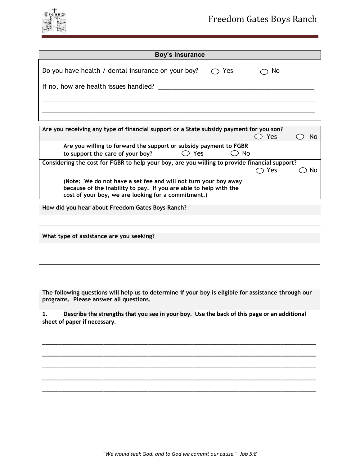

| <b>Boy's insurance</b>                                            |               |  |
|-------------------------------------------------------------------|---------------|--|
| Do you have health / dental insurance on your boy? $\bigcirc$ Yes | $\bigcirc$ No |  |
|                                                                   |               |  |
|                                                                   |               |  |

| Are you receiving any type of financial support or a State subsidy payment for you son?                                                                                                     |     |                |      |  |  |
|---------------------------------------------------------------------------------------------------------------------------------------------------------------------------------------------|-----|----------------|------|--|--|
|                                                                                                                                                                                             |     |                | Yes  |  |  |
| Are you willing to forward the support or subsidy payment to FGBR<br>to support the care of your boy?                                                                                       | Yes | N <sub>0</sub> |      |  |  |
| Considering the cost for FGBR to help your boy, are you willing to provide financial support?                                                                                               |     |                |      |  |  |
|                                                                                                                                                                                             |     |                | )Yes |  |  |
| (Note: We do not have a set fee and will not turn your boy away<br>because of the inability to pay. If you are able to help with the<br>cost of your boy, we are looking for a commitment.) |     |                |      |  |  |

**How did you hear about Freedom Gates Boys Ranch?**

**What type of assistance are you seeking?**

**The following questions will help us to determine if your boy is eligible for assistance through our programs. Please answer all questions.**

**1. Describe the strengths that you see in your boy. Use the back of this page or an additional sheet of paper if necessary.**

**\_\_\_\_\_\_\_\_\_\_\_\_\_\_\_\_\_\_\_\_\_\_\_\_\_\_\_\_\_\_\_\_\_\_\_\_\_\_\_\_\_\_\_\_\_\_\_\_\_\_\_\_\_\_\_\_\_\_\_\_\_\_\_\_\_\_\_\_\_\_\_\_\_\_\_\_\_\_\_\_\_\_\_\_\_**

**\_\_\_\_\_\_\_\_\_\_\_\_\_\_\_\_\_\_\_\_\_\_\_\_\_\_\_\_\_\_\_\_\_\_\_\_\_\_\_\_\_\_\_\_\_\_\_\_\_\_\_\_\_\_\_\_\_\_\_\_\_\_\_\_\_\_\_\_\_\_\_\_\_\_\_\_\_\_\_\_\_\_\_\_\_**

**\_\_\_\_\_\_\_\_\_\_\_\_\_\_\_\_\_\_\_\_\_\_\_\_\_\_\_\_\_\_\_\_\_\_\_\_\_\_\_\_\_\_\_\_\_\_\_\_\_\_\_\_\_\_\_\_\_\_\_\_\_\_\_\_\_\_\_\_\_\_\_\_\_\_\_\_\_\_\_\_\_\_\_\_\_**

**\_\_\_\_\_\_\_\_\_\_\_\_\_\_\_\_\_\_\_\_\_\_\_\_\_\_\_\_\_\_\_\_\_\_\_\_\_\_\_\_\_\_\_\_\_\_\_\_\_\_\_\_\_\_\_\_\_\_\_\_\_\_\_\_\_\_\_\_\_\_\_\_\_\_\_\_\_\_\_\_\_\_\_\_\_**

**\_\_\_\_\_\_\_\_\_\_\_\_\_\_\_\_\_\_\_\_\_\_\_\_\_\_\_\_\_\_\_\_\_\_\_\_\_\_\_\_\_\_\_\_\_\_\_\_\_\_\_\_\_\_\_\_\_\_\_\_\_\_\_\_\_\_\_\_\_\_\_\_\_\_\_\_\_\_\_\_\_\_\_\_\_**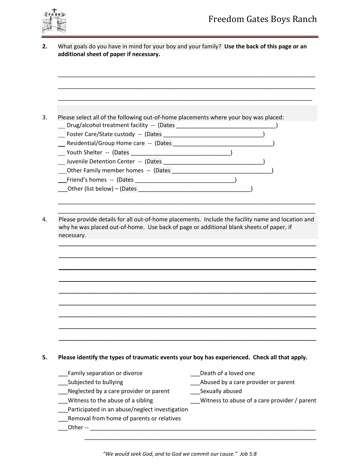

**2.** What goals do you have in mind for your boy and your family? **Use the back of this page or an additional sheet of paper if necessary.**

\_\_\_\_\_\_\_\_\_\_\_\_\_\_\_\_\_\_\_\_\_\_\_\_\_\_\_\_\_\_\_\_\_\_\_\_\_\_\_\_\_\_\_\_\_\_\_\_\_\_\_\_\_\_\_\_\_\_\_\_\_\_\_\_\_\_\_\_\_\_\_\_\_\_\_\_\_\_\_\_

| Please select all of the following out-of-home placements where your boy was placed:              |                                              |
|---------------------------------------------------------------------------------------------------|----------------------------------------------|
| __ Drug/alcohol treatment facility -- (Dates ___________________________________                  |                                              |
|                                                                                                   |                                              |
|                                                                                                   |                                              |
|                                                                                                   |                                              |
| Juvenile Detention Center -- (Dates                                                               |                                              |
|                                                                                                   |                                              |
|                                                                                                   |                                              |
|                                                                                                   |                                              |
|                                                                                                   |                                              |
|                                                                                                   |                                              |
| Please provide details for all out-of-home placements. Include the facility name and location and |                                              |
| why he was placed out-of-home. Use back of page or additional blank sheets of paper, if           |                                              |
|                                                                                                   |                                              |
| necessary.                                                                                        |                                              |
|                                                                                                   |                                              |
|                                                                                                   |                                              |
|                                                                                                   |                                              |
|                                                                                                   |                                              |
|                                                                                                   |                                              |
|                                                                                                   |                                              |
|                                                                                                   |                                              |
|                                                                                                   |                                              |
|                                                                                                   |                                              |
|                                                                                                   |                                              |
|                                                                                                   |                                              |
|                                                                                                   |                                              |
| Please identify the types of traumatic events your boy has experienced. Check all that apply.     |                                              |
|                                                                                                   |                                              |
| Family separation or divorce                                                                      | Death of a loved one                         |
| Subjected to bullying                                                                             | Abused by a care provider or parent          |
| Neglected by a care provider or parent                                                            | Sexually abused                              |
| Witness to the abuse of a sibling                                                                 | Witness to abuse of a care provider / parent |
| Participated in an abuse/neglect investigation<br>Removal from home of parents or relatives       |                                              |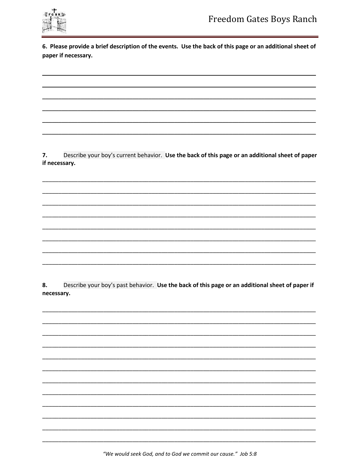

6. Please provide a brief description of the events. Use the back of this page or an additional sheet of paper if necessary.

7. Describe your boy's current behavior. Use the back of this page or an additional sheet of paper if necessary.

8. Describe your boy's past behavior. Use the back of this page or an additional sheet of paper if necessary.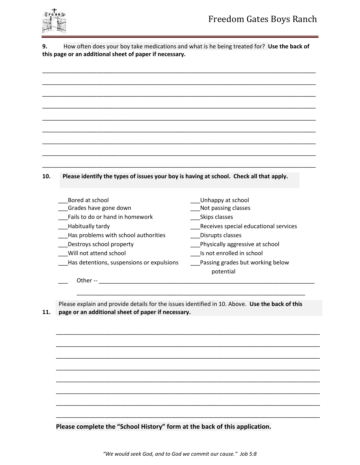

**9.** How often does your boy take medications and what is he being treated for? **Use the back of this page or an additional sheet of paper if necessary.**

| 10. |  | Please identify the types of issues your boy is having at school. Check all that apply. |
|-----|--|-----------------------------------------------------------------------------------------|
|     |  |                                                                                         |

| Bored at school                           | Unhappy at school                     |
|-------------------------------------------|---------------------------------------|
| Grades have gone down                     | Not passing classes                   |
| Fails to do or hand in homework           | Skips classes                         |
| Habitually tardy                          | Receives special educational services |
| Has problems with school authorities      | Disrupts classes                      |
| Destroys school property                  | Physically aggressive at school       |
| Will not attend school                    | Is not enrolled in school             |
| Has detentions, suspensions or expulsions | Passing grades but working below      |
|                                           | potential                             |
| Other --                                  |                                       |

**11. page or an additional sheet of paper if necessary.** Please explain and provide details for the issues identified in 10. Above. **Use the back of this** 

\_\_\_\_\_\_\_\_\_\_\_\_\_\_\_\_\_\_\_\_\_\_\_\_\_\_\_\_\_\_\_\_\_\_\_\_\_\_\_\_\_\_\_\_\_\_\_\_\_\_\_\_\_\_\_\_\_\_\_\_\_\_\_\_\_\_\_\_\_\_\_

\_\_\_\_\_\_\_\_\_\_\_\_\_\_\_\_\_\_\_\_\_\_\_\_\_\_\_\_\_\_\_\_\_\_\_\_\_\_\_\_\_\_\_\_\_\_\_\_\_\_\_\_\_\_\_\_\_\_\_\_\_\_\_\_\_\_\_\_\_\_\_\_\_\_\_\_\_\_\_\_\_\_

\_\_\_\_\_\_\_\_\_\_\_\_\_\_\_\_\_\_\_\_\_\_\_\_\_\_\_\_\_\_\_\_\_\_\_\_\_\_\_\_\_\_\_\_\_\_\_\_\_\_\_\_\_\_\_\_\_\_\_\_\_\_\_\_\_\_\_\_\_\_\_\_\_\_\_\_\_\_\_\_\_\_

\_\_\_\_\_\_\_\_\_\_\_\_\_\_\_\_\_\_\_\_\_\_\_\_\_\_\_\_\_\_\_\_\_\_\_\_\_\_\_\_\_\_\_\_\_\_\_\_\_\_\_\_\_\_\_\_\_\_\_\_\_\_\_\_\_\_\_\_\_\_\_\_\_\_\_\_\_\_\_\_\_\_

\_\_\_\_\_\_\_\_\_\_\_\_\_\_\_\_\_\_\_\_\_\_\_\_\_\_\_\_\_\_\_\_\_\_\_\_\_\_\_\_\_\_\_\_\_\_\_\_\_\_\_\_\_\_\_\_\_\_\_\_\_\_\_\_\_\_\_\_\_\_\_\_\_\_\_\_\_\_\_\_\_\_

\_\_\_\_\_\_\_\_\_\_\_\_\_\_\_\_\_\_\_\_\_\_\_\_\_\_\_\_\_\_\_\_\_\_\_\_\_\_\_\_\_\_\_\_\_\_\_\_\_\_\_\_\_\_\_\_\_\_\_\_\_\_\_\_\_\_\_\_\_\_\_\_\_\_\_\_\_\_\_\_\_\_

\_\_\_\_\_\_\_\_\_\_\_\_\_\_\_\_\_\_\_\_\_\_\_\_\_\_\_\_\_\_\_\_\_\_\_\_\_\_\_\_\_\_\_\_\_\_\_\_\_\_\_\_\_\_\_\_\_\_\_\_\_\_\_\_\_\_\_\_\_\_\_\_\_\_\_\_\_\_\_\_\_\_

\_\_\_\_\_\_\_\_\_\_\_\_\_\_\_\_\_\_\_\_\_\_\_\_\_\_\_\_\_\_\_\_\_\_\_\_\_\_\_\_\_\_\_\_\_\_\_\_\_\_\_\_\_\_\_\_\_\_\_\_\_\_\_\_\_\_\_\_\_\_\_\_\_\_\_\_\_\_\_\_\_\_

\_\_\_\_\_\_\_\_\_\_\_\_\_\_\_\_\_\_\_\_\_\_\_\_\_\_\_\_\_\_\_\_\_\_\_\_\_\_\_\_\_\_\_\_\_\_\_\_\_\_\_\_\_\_\_\_\_\_\_\_\_\_\_\_\_\_\_\_\_\_\_\_\_\_\_\_\_\_\_\_\_\_

**Please complete the "School History" form at the back of this application.**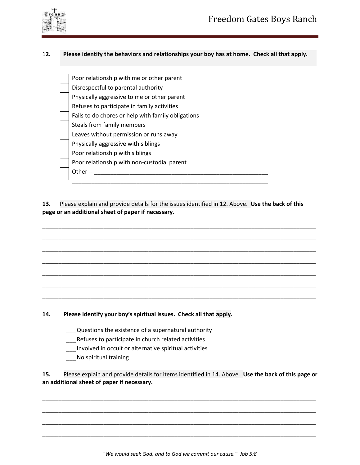

### 1**2. Please identify the behaviors and relationships your boy has at home. Check all that apply.**

| Poor relationship with me or other parent          |
|----------------------------------------------------|
| Disrespectful to parental authority                |
| Physically aggressive to me or other parent        |
| Refuses to participate in family activities        |
| Fails to do chores or help with family obligations |
| Steals from family members                         |
| Leaves without permission or runs away             |
| Physically aggressive with siblings                |
| Poor relationship with siblings                    |
| Poor relationship with non-custodial parent        |
| Other-                                             |
|                                                    |

**13.** Please explain and provide details for the issues identified in 12. Above. **Use the back of this page or an additional sheet of paper if necessary.**

\_\_\_\_\_\_\_\_\_\_\_\_\_\_\_\_\_\_\_\_\_\_\_\_\_\_\_\_\_\_\_\_\_\_\_\_\_\_\_\_\_\_\_\_\_\_\_\_\_\_\_\_\_\_\_\_\_\_\_\_\_\_\_\_\_\_\_\_\_\_\_\_\_\_\_\_\_\_\_\_\_\_\_\_\_

\_\_\_\_\_\_\_\_\_\_\_\_\_\_\_\_\_\_\_\_\_\_\_\_\_\_\_\_\_\_\_\_\_\_\_\_\_\_\_\_\_\_\_\_\_\_\_\_\_\_\_\_\_\_\_\_\_\_\_\_\_\_\_\_\_\_\_\_\_\_\_\_\_\_\_\_\_\_\_\_\_\_\_\_\_

\_\_\_\_\_\_\_\_\_\_\_\_\_\_\_\_\_\_\_\_\_\_\_\_\_\_\_\_\_\_\_\_\_\_\_\_\_\_\_\_\_\_\_\_\_\_\_\_\_\_\_\_\_\_\_\_\_\_\_\_\_\_\_\_\_\_\_\_\_\_\_\_\_\_\_\_\_\_\_\_\_\_\_\_\_

\_\_\_\_\_\_\_\_\_\_\_\_\_\_\_\_\_\_\_\_\_\_\_\_\_\_\_\_\_\_\_\_\_\_\_\_\_\_\_\_\_\_\_\_\_\_\_\_\_\_\_\_\_\_\_\_\_\_\_\_\_\_\_\_\_\_\_\_\_\_\_\_\_\_\_\_\_\_\_\_\_\_\_\_\_

\_\_\_\_\_\_\_\_\_\_\_\_\_\_\_\_\_\_\_\_\_\_\_\_\_\_\_\_\_\_\_\_\_\_\_\_\_\_\_\_\_\_\_\_\_\_\_\_\_\_\_\_\_\_\_\_\_\_\_\_\_\_\_\_\_\_\_\_\_\_\_\_\_\_\_\_\_\_\_\_\_\_\_\_\_

\_\_\_\_\_\_\_\_\_\_\_\_\_\_\_\_\_\_\_\_\_\_\_\_\_\_\_\_\_\_\_\_\_\_\_\_\_\_\_\_\_\_\_\_\_\_\_\_\_\_\_\_\_\_\_\_\_\_\_\_\_\_\_\_\_\_\_\_\_\_\_\_\_\_\_\_\_\_\_\_\_\_\_\_\_

\_\_\_\_\_\_\_\_\_\_\_\_\_\_\_\_\_\_\_\_\_\_\_\_\_\_\_\_\_\_\_\_\_\_\_\_\_\_\_\_\_\_\_\_\_\_\_\_\_\_\_\_\_\_\_\_\_\_\_\_\_\_\_\_\_\_\_\_\_\_\_\_\_\_\_\_\_\_\_\_\_\_\_\_\_

**14. Please identify your boy's spiritual issues. Check all that apply.**

- \_\_\_Questions the existence of a supernatural authority
- \_\_\_Refuses to participate in church related activities
- \_\_\_ Involved in occult or alternative spiritual activities
- \_\_\_No spiritual training

**15.** Please explain and provide details for items identified in 14. Above. **Use the back of this page or an additional sheet of paper if necessary.**

\_\_\_\_\_\_\_\_\_\_\_\_\_\_\_\_\_\_\_\_\_\_\_\_\_\_\_\_\_\_\_\_\_\_\_\_\_\_\_\_\_\_\_\_\_\_\_\_\_\_\_\_\_\_\_\_\_\_\_\_\_\_\_\_\_\_\_\_\_\_\_\_\_\_\_\_\_\_\_\_\_\_\_\_\_

\_\_\_\_\_\_\_\_\_\_\_\_\_\_\_\_\_\_\_\_\_\_\_\_\_\_\_\_\_\_\_\_\_\_\_\_\_\_\_\_\_\_\_\_\_\_\_\_\_\_\_\_\_\_\_\_\_\_\_\_\_\_\_\_\_\_\_\_\_\_\_\_\_\_\_\_\_\_\_\_\_\_\_\_\_

\_\_\_\_\_\_\_\_\_\_\_\_\_\_\_\_\_\_\_\_\_\_\_\_\_\_\_\_\_\_\_\_\_\_\_\_\_\_\_\_\_\_\_\_\_\_\_\_\_\_\_\_\_\_\_\_\_\_\_\_\_\_\_\_\_\_\_\_\_\_\_\_\_\_\_\_\_\_\_\_\_\_\_\_\_

\_\_\_\_\_\_\_\_\_\_\_\_\_\_\_\_\_\_\_\_\_\_\_\_\_\_\_\_\_\_\_\_\_\_\_\_\_\_\_\_\_\_\_\_\_\_\_\_\_\_\_\_\_\_\_\_\_\_\_\_\_\_\_\_\_\_\_\_\_\_\_\_\_\_\_\_\_\_\_\_\_\_\_\_\_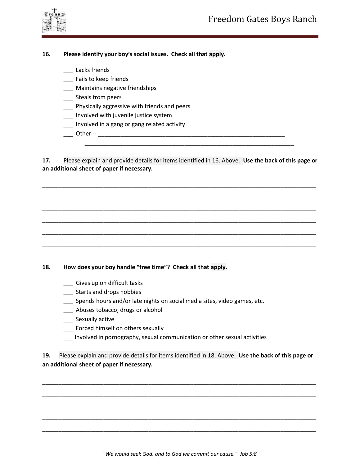



## **16. Please identify your boy's social issues. Check all that apply.**

\_\_\_ Lacks friends

- \_\_\_ Fails to keep friends
- \_\_\_ Maintains negative friendships
- \_\_\_ Steals from peers
- **\_\_\_** Physically aggressive with friends and peers
- \_\_\_ Involved with juvenile justice system
- \_\_\_ Involved in a gang or gang related activity
- \_\_\_ Other -- \_\_\_\_\_\_\_\_\_\_\_\_\_\_\_\_\_\_\_\_\_\_\_\_\_\_\_\_\_\_\_\_\_\_\_\_\_\_\_\_\_\_\_\_\_\_\_\_\_\_\_\_\_\_\_\_\_\_

**17.** Please explain and provide details for items identified in 16. Above. **Use the back of this page or an additional sheet of paper if necessary.**

\_\_\_\_\_\_\_\_\_\_\_\_\_\_\_\_\_\_\_\_\_\_\_\_\_\_\_\_\_\_\_\_\_\_\_\_\_\_\_\_\_\_\_\_\_\_\_\_\_\_\_\_\_\_\_\_\_\_\_\_\_\_\_\_\_\_\_\_\_\_\_\_\_\_\_\_\_\_\_\_\_\_\_\_\_

\_\_\_\_\_\_\_\_\_\_\_\_\_\_\_\_\_\_\_\_\_\_\_\_\_\_\_\_\_\_\_\_\_\_\_\_\_\_\_\_\_\_\_\_\_\_\_\_\_\_\_\_\_\_\_\_\_\_\_\_\_\_\_\_\_\_\_\_\_\_\_\_\_\_\_\_\_\_\_\_\_\_\_\_\_

\_\_\_\_\_\_\_\_\_\_\_\_\_\_\_\_\_\_\_\_\_\_\_\_\_\_\_\_\_\_\_\_\_\_\_\_\_\_\_\_\_\_\_\_\_\_\_\_\_\_\_\_\_\_\_\_\_\_\_\_\_\_\_\_\_\_\_\_\_\_\_\_\_\_\_\_\_\_\_\_\_\_\_\_\_

\_\_\_\_\_\_\_\_\_\_\_\_\_\_\_\_\_\_\_\_\_\_\_\_\_\_\_\_\_\_\_\_\_\_\_\_\_\_\_\_\_\_\_\_\_\_\_\_\_\_\_\_\_\_\_\_\_\_\_\_\_\_\_\_\_\_\_\_\_\_\_\_\_\_\_\_\_\_\_\_\_\_\_\_\_

\_\_\_\_\_\_\_\_\_\_\_\_\_\_\_\_\_\_\_\_\_\_\_\_\_\_\_\_\_\_\_\_\_\_\_\_\_\_\_\_\_\_\_\_\_\_\_\_\_\_\_\_\_\_\_\_\_\_\_\_\_\_\_\_\_\_\_\_\_\_\_\_\_\_\_\_\_\_\_\_\_\_\_\_\_

\_\_\_\_\_\_\_\_\_\_\_\_\_\_\_\_\_\_\_\_\_\_\_\_\_\_\_\_\_\_\_\_\_\_\_\_\_\_\_\_\_\_\_\_\_\_\_\_\_\_\_\_\_\_\_\_\_\_\_\_\_\_\_\_\_\_\_\_\_\_\_\_\_\_\_\_\_\_\_\_\_\_\_\_\_

\_\_\_\_\_\_\_\_\_\_\_\_\_\_\_\_\_\_\_\_\_\_\_\_\_\_\_\_\_\_\_\_\_\_\_\_\_\_\_\_\_\_\_\_\_\_\_\_\_\_\_\_\_\_\_\_\_\_\_\_\_\_\_\_\_

### **18. How does your boy handle "free time"? Check all that apply.**

- \_\_\_ Gives up on difficult tasks
- \_\_\_ Starts and drops hobbies
- Spends hours and/or late nights on social media sites, video games, etc.
- \_\_\_ Abuses tobacco, drugs or alcohol
- \_\_\_ Sexually active
- \_\_\_ Forced himself on others sexually
- \_\_\_ Involved in pornography, sexual communication or other sexual activities

**19.** Please explain and provide details for items identified in 18. Above. **Use the back of this page or an additional sheet of paper if necessary.**

\_\_\_\_\_\_\_\_\_\_\_\_\_\_\_\_\_\_\_\_\_\_\_\_\_\_\_\_\_\_\_\_\_\_\_\_\_\_\_\_\_\_\_\_\_\_\_\_\_\_\_\_\_\_\_\_\_\_\_\_\_\_\_\_\_\_\_\_\_\_\_\_\_\_\_\_\_\_\_\_\_\_\_\_\_

\_\_\_\_\_\_\_\_\_\_\_\_\_\_\_\_\_\_\_\_\_\_\_\_\_\_\_\_\_\_\_\_\_\_\_\_\_\_\_\_\_\_\_\_\_\_\_\_\_\_\_\_\_\_\_\_\_\_\_\_\_\_\_\_\_\_\_\_\_\_\_\_\_\_\_\_\_\_\_\_\_\_\_\_\_

\_\_\_\_\_\_\_\_\_\_\_\_\_\_\_\_\_\_\_\_\_\_\_\_\_\_\_\_\_\_\_\_\_\_\_\_\_\_\_\_\_\_\_\_\_\_\_\_\_\_\_\_\_\_\_\_\_\_\_\_\_\_\_\_\_\_\_\_\_\_\_\_\_\_\_\_\_\_\_\_\_\_\_\_\_

\_\_\_\_\_\_\_\_\_\_\_\_\_\_\_\_\_\_\_\_\_\_\_\_\_\_\_\_\_\_\_\_\_\_\_\_\_\_\_\_\_\_\_\_\_\_\_\_\_\_\_\_\_\_\_\_\_\_\_\_\_\_\_\_\_\_\_\_\_\_\_\_\_\_\_\_\_\_\_\_\_\_\_\_\_

\_\_\_\_\_\_\_\_\_\_\_\_\_\_\_\_\_\_\_\_\_\_\_\_\_\_\_\_\_\_\_\_\_\_\_\_\_\_\_\_\_\_\_\_\_\_\_\_\_\_\_\_\_\_\_\_\_\_\_\_\_\_\_\_\_\_\_\_\_\_\_\_\_\_\_\_\_\_\_\_\_\_\_\_\_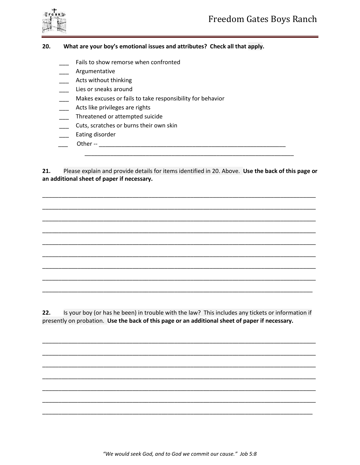



#### 20. What are your boy's emotional issues and attributes? Check all that apply.

- Fails to show remorse when confronted
- Argumentative
- \_ Acts without thinking
- Lies or sneaks around
- Makes excuses or fails to take responsibility for behavior
- Acts like privileges are rights
- Threatened or attempted suicide
- Cuts, scratches or burns their own skin
- Eating disorder
- 

 $21.$ Please explain and provide details for items identified in 20. Above. Use the back of this page or an additional sheet of paper if necessary.

 $22.$ Is your boy (or has he been) in trouble with the law? This includes any tickets or information if presently on probation. Use the back of this page or an additional sheet of paper if necessary.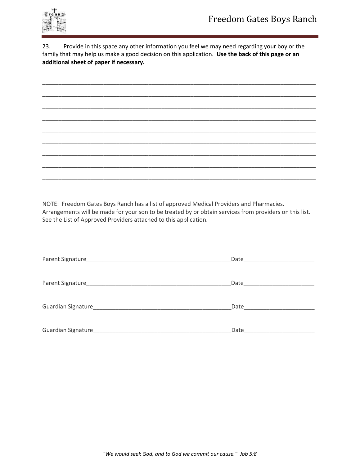

23. Provide in this space any other information you feel we may need regarding your boy or the family that may help us make a good decision on this application. **Use the back of this page or an additional sheet of paper if necessary.**

| $\overline{\phantom{a}}$ | — |
|--------------------------|---|
|                          | — |
|                          |   |
|                          | — |
| _____                    |   |

NOTE: Freedom Gates Boys Ranch has a list of approved Medical Providers and Pharmacies. Arrangements will be made for your son to be treated by or obtain services from providers on this list. See the List of Approved Providers attached to this application.

| Parent Signature   | Date |
|--------------------|------|
|                    |      |
| Parent Signature_  | Date |
|                    |      |
|                    | Date |
|                    |      |
| Guardian Signature | Date |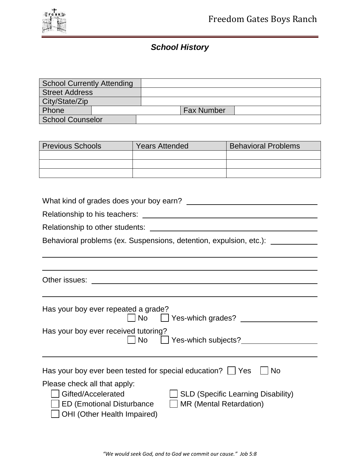# *School History*

| <b>School Currently Attending</b> |  |  |                   |  |
|-----------------------------------|--|--|-------------------|--|
| <b>Street Address</b>             |  |  |                   |  |
| City/State/Zip                    |  |  |                   |  |
| Phone                             |  |  | <b>Fax Number</b> |  |
| <b>School Counselor</b>           |  |  |                   |  |

| <b>Previous Schools</b> | <b>Years Attended</b> | <b>Behavioral Problems</b> |
|-------------------------|-----------------------|----------------------------|
|                         |                       |                            |
|                         |                       |                            |
|                         |                       |                            |

| What kind of grades does your boy earn?                                                                                                                                                              |  |  |  |
|------------------------------------------------------------------------------------------------------------------------------------------------------------------------------------------------------|--|--|--|
|                                                                                                                                                                                                      |  |  |  |
| Relationship to other students:<br><u> 1980 - Johann Stein, mars an deus Amerikaansk kommunister (</u>                                                                                               |  |  |  |
| Behavioral problems (ex. Suspensions, detention, expulsion, etc.): _____                                                                                                                             |  |  |  |
|                                                                                                                                                                                                      |  |  |  |
|                                                                                                                                                                                                      |  |  |  |
| Other issues:                                                                                                                                                                                        |  |  |  |
|                                                                                                                                                                                                      |  |  |  |
| Has your boy ever repeated a grade?<br>No Lyces-which grades?                                                                                                                                        |  |  |  |
| Has your boy ever received tutoring?<br>Yes-which subjects?<br><b>No</b>                                                                                                                             |  |  |  |
|                                                                                                                                                                                                      |  |  |  |
| <b>No</b><br>Has your boy ever been tested for special education? $\Box$ Yes                                                                                                                         |  |  |  |
| Please check all that apply:<br>$\Box$ SLD (Specific Learning Disability)<br>Gifted/Accelerated<br>$\Box$ MR (Mental Retardation)<br>ED (Emotional Disturbance<br><b>OHI</b> (Other Health Impaired) |  |  |  |